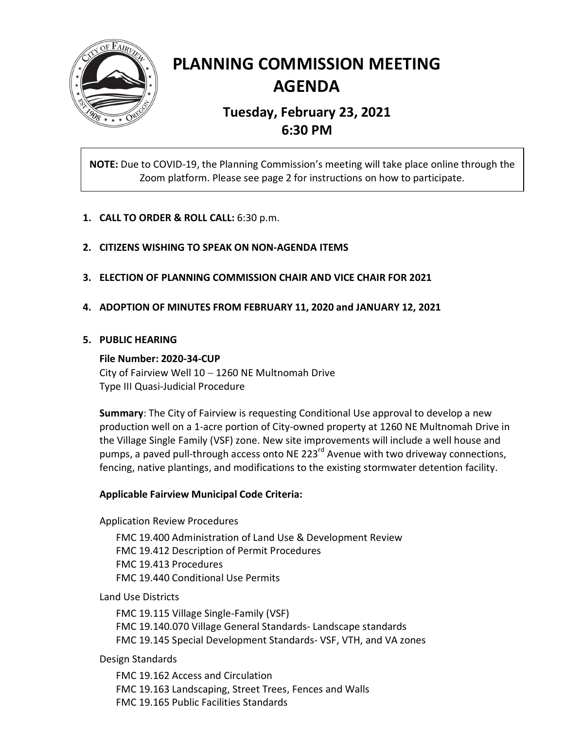

# **PLANNING COMMISSION MEETING AGENDA**

# **Tuesday, February 23, 2021 6:30 PM**

**NOTE:** Due to COVID-19, the Planning Commission's meeting will take place online through the Zoom platform. Please see page 2 for instructions on how to participate.

- **1. CALL TO ORDER & ROLL CALL:** 6:30 p.m.
- **2. CITIZENS WISHING TO SPEAK ON NON-AGENDA ITEMS**
- **3. ELECTION OF PLANNING COMMISSION CHAIR AND VICE CHAIR FOR 2021**
- **4. ADOPTION OF MINUTES FROM FEBRUARY 11, 2020 and JANUARY 12, 2021**

# **5. PUBLIC HEARING**

# **File Number: 2020-34-CUP**

City of Fairview Well 10 − 1260 NE Multnomah Drive Type III Quasi-Judicial Procedure

**Summary**: The City of Fairview is requesting Conditional Use approval to develop a new production well on a 1-acre portion of City-owned property at 1260 NE Multnomah Drive in the Village Single Family (VSF) zone. New site improvements will include a well house and pumps, a paved pull-through access onto NE 223<sup>rd</sup> Avenue with two driveway connections, fencing, native plantings, and modifications to the existing stormwater detention facility.

# **Applicable Fairview Municipal Code Criteria:**

Application Review Procedures

FMC 19.400 Administration of Land Use & Development Review FMC 19.412 Description of Permit Procedures FMC 19.413 Procedures FMC 19.440 Conditional Use Permits

Land Use Districts

FMC 19.115 Village Single-Family (VSF) FMC 19.140.070 Village General Standards- Landscape standards FMC 19.145 Special Development Standards- VSF, VTH, and VA zones

Design Standards

FMC 19.162 Access and Circulation FMC 19.163 Landscaping, Street Trees, Fences and Walls FMC 19.165 Public Facilities Standards